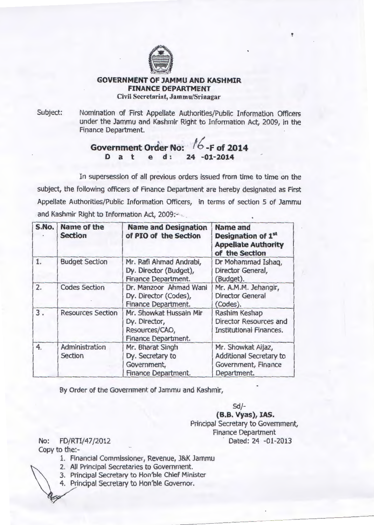

## **GOVERNMENT OF JAMMU AND KASHMIR FINANCE DEPARTMENT**  Civil Secretariat, Jammu/Srinagar

Subject: Nomination of First Appellate Authorities/Public Information Officers under the Jammu and Kashmir Right to Information Act, 2009, in the Finance Department.

f

## . **Government Order No:**  fb\_F **of 2014 D a t e d: 24 -01-2014**

In supersession of all previous orders issued from time to time on the subject, the following officers of Finance Department are hereby designated as First Appellate Authorities/Public Information Officers, in terms of section 5 of Jammu and Kashmir Right to Information Act, 2009:

| S.No. | <b>Name of the</b><br><b>Section</b> | <b>Name and Designation</b><br>of PIO of the Section                              | <b>Name and</b><br>Designation of 1 <sup>st</sup><br><b>Appellate Authority</b><br>of the Section |
|-------|--------------------------------------|-----------------------------------------------------------------------------------|---------------------------------------------------------------------------------------------------|
| 1.    | <b>Budget Section</b>                | Mr. Rafi Ahmad Andrabi,<br>Dy. Director (Budget),<br>Finance Department.          | Dr Mohammad Ishaq,<br>Director General,<br>(Budget).                                              |
| 2.    | <b>Codes Section</b>                 | Dr. Manzoor Ahmad Wani<br>Dy. Director (Codes),<br>Finance Department.            | Mr. A.M.M. Jehangir,<br><b>Director General</b><br>(Codes).                                       |
| 3.    | <b>Resources Section</b>             | Mr. Showkat Hussain Mir<br>Dy. Director,<br>Resources/CAO,<br>Finance Department. | Rashim Keshap<br><b>Director Resources and</b><br><b>Institutional Finances.</b>                  |
| 4.    | Administration<br><b>Section</b>     | Mr. Bharat Singh<br>Dy. Secretary to<br>Government,<br>Finance Department.        | Mr. Showkat Aijaz,<br>Additional Secretary to<br>Government, Finance<br>Department.               |

By Order of the Government of Jammu and Kashmir,

Sd/-

**(8.8. Vyas), lAS.**  Principal Secretary to Government, Finance Department No: FD/RTI/47/2012 Dated: 24 -01-2013

Copy to the:-

- 1. Financial Commissioner, Revenue, J&K Jammu
- 2. All Principal Secretaries to Government.
- 3. Principal Secretary to Hon'ble Chief Minister
- 4. Principal Secretary to Hon'ble Governor.